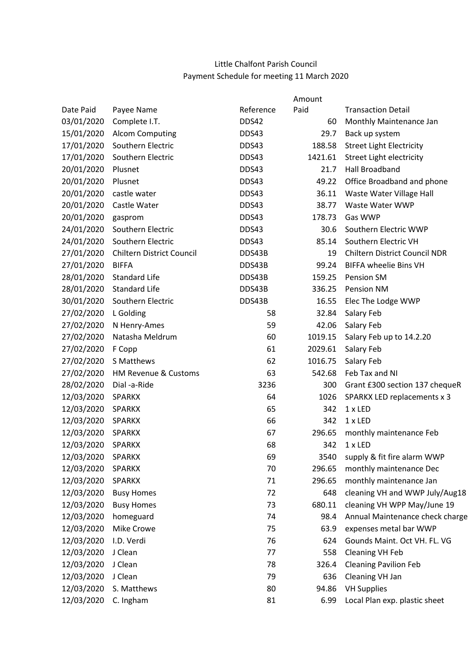## Little Chalfont Parish Council Payment Schedule for meeting 11 March 2020

|            |                                  |           | Amount  |                                      |
|------------|----------------------------------|-----------|---------|--------------------------------------|
| Date Paid  | Payee Name                       | Reference | Paid    | <b>Transaction Detail</b>            |
| 03/01/2020 | Complete I.T.                    | DDS42     | 60      | Monthly Maintenance Jan              |
| 15/01/2020 | <b>Alcom Computing</b>           | DDS43     | 29.7    | Back up system                       |
| 17/01/2020 | Southern Electric                | DDS43     | 188.58  | <b>Street Light Electricity</b>      |
| 17/01/2020 | Southern Electric                | DDS43     | 1421.61 | Street Light electricity             |
| 20/01/2020 | Plusnet                          | DDS43     | 21.7    | <b>Hall Broadband</b>                |
| 20/01/2020 | Plusnet                          | DDS43     | 49.22   | Office Broadband and phone           |
| 20/01/2020 | castle water                     | DDS43     | 36.11   | Waste Water Village Hall             |
| 20/01/2020 | Castle Water                     | DDS43     | 38.77   | Waste Water WWP                      |
| 20/01/2020 | gasprom                          | DDS43     | 178.73  | Gas WWP                              |
| 24/01/2020 | Southern Electric                | DDS43     | 30.6    | Southern Electric WWP                |
| 24/01/2020 | Southern Electric                | DDS43     | 85.14   | Southern Electric VH                 |
| 27/01/2020 | <b>Chiltern District Council</b> | DDS43B    | 19      | <b>Chiltern District Council NDR</b> |
| 27/01/2020 | <b>BIFFA</b>                     | DDS43B    | 99.24   | <b>BIFFA wheelie Bins VH</b>         |
| 28/01/2020 | <b>Standard Life</b>             | DDS43B    | 159.25  | <b>Pension SM</b>                    |
| 28/01/2020 | <b>Standard Life</b>             | DDS43B    | 336.25  | Pension NM                           |
| 30/01/2020 | Southern Electric                | DDS43B    | 16.55   | Elec The Lodge WWP                   |
| 27/02/2020 | L Golding                        | 58        | 32.84   | Salary Feb                           |
| 27/02/2020 | N Henry-Ames                     | 59        | 42.06   | Salary Feb                           |
| 27/02/2020 | Natasha Meldrum                  | 60        | 1019.15 | Salary Feb up to 14.2.20             |
| 27/02/2020 | F Copp                           | 61        | 2029.61 | Salary Feb                           |
| 27/02/2020 | S Matthews                       | 62        | 1016.75 | Salary Feb                           |
| 27/02/2020 | <b>HM Revenue &amp; Customs</b>  | 63        | 542.68  | Feb Tax and NI                       |
| 28/02/2020 | Dial -a-Ride                     | 3236      | 300     | Grant £300 section 137 chequeR       |
| 12/03/2020 | <b>SPARKX</b>                    | 64        | 1026    | SPARKX LED replacements x 3          |
| 12/03/2020 | <b>SPARKX</b>                    | 65        | 342     | $1 \times$ LED                       |
| 12/03/2020 | <b>SPARKX</b>                    | 66        | 342     | 1 x LED                              |
| 12/03/2020 | <b>SPARKX</b>                    | 67        | 296.65  | monthly maintenance Feb              |
| 12/03/2020 | <b>SPARKX</b>                    | 68        | 342     | 1 x LED                              |
| 12/03/2020 | <b>SPARKX</b>                    | 69        | 3540    | supply & fit fire alarm WWP          |
| 12/03/2020 | <b>SPARKX</b>                    | 70        | 296.65  | monthly maintenance Dec              |
| 12/03/2020 | <b>SPARKX</b>                    | 71        | 296.65  | monthly maintenance Jan              |
| 12/03/2020 | <b>Busy Homes</b>                | 72        | 648     | cleaning VH and WWP July/Aug18       |
| 12/03/2020 | <b>Busy Homes</b>                | 73        | 680.11  | cleaning VH WPP May/June 19          |
| 12/03/2020 | homeguard                        | 74        | 98.4    | Annual Maintenance check charge      |
| 12/03/2020 | Mike Crowe                       | 75        | 63.9    | expenses metal bar WWP               |
| 12/03/2020 | I.D. Verdi                       | 76        | 624     | Gounds Maint. Oct VH. FL. VG         |
| 12/03/2020 | J Clean                          | 77        | 558     | <b>Cleaning VH Feb</b>               |
| 12/03/2020 | J Clean                          | 78        | 326.4   | <b>Cleaning Pavilion Feb</b>         |
| 12/03/2020 | J Clean                          | 79        | 636     | Cleaning VH Jan                      |
| 12/03/2020 | S. Matthews                      | 80        | 94.86   | <b>VH Supplies</b>                   |
| 12/03/2020 | C. Ingham                        | 81        | 6.99    | Local Plan exp. plastic sheet        |